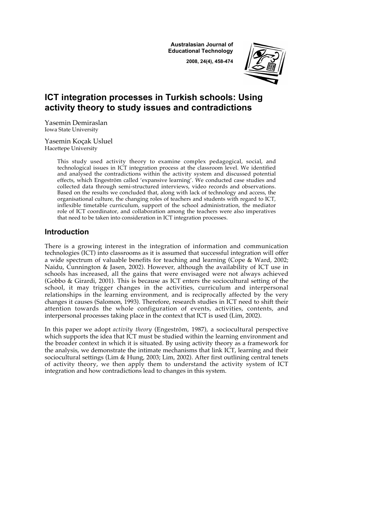**Australasian Journal of Educational Technology**

**2008, 24(4), 458-474**



# **ICT integration processes in Turkish schools: Using activity theory to study issues and contradictions**

Yasemin Demiraslan Iowa State University

Yasemin Koçak Usluel Hacettepe University

> This study used activity theory to examine complex pedagogical, social, and technological issues in ICT integration process at the classroom level. We identified and analysed the contradictions within the activity system and discussed potential effects, which Engeström called 'expansive learning'. We conducted case studies and collected data through semi-structured interviews, video records and observations. Based on the results we concluded that, along with lack of technology and access, the organisational culture, the changing roles of teachers and students with regard to ICT, inflexible timetable curriculum, support of the school administration, the mediator role of ICT coordinator, and collaboration among the teachers were also imperatives that need to be taken into consideration in ICT integration processes.

## **Introduction**

There is a growing interest in the integration of information and communication technologies (ICT) into classrooms as it is assumed that successful integration will offer a wide spectrum of valuable benefits for teaching and learning (Cope & Ward, 2002; Naidu, Cunnington & Jasen, 2002). However, although the availability of ICT use in schools has increased, all the gains that were envisaged were not always achieved (Gobbo & Girardi, 2001). This is because as ICT enters the sociocultural setting of the school, it may trigger changes in the activities, curriculum and interpersonal relationships in the learning environment, and is reciprocally affected by the very changes it causes (Salomon, 1993). Therefore, research studies in ICT need to shift their attention towards the whole configuration of events, activities, contents, and interpersonal processes taking place in the context that ICT is used (Lim, 2002).

In this paper we adopt *activity theory* (Engeström, 1987), a sociocultural perspective which supports the idea that ICT must be studied within the learning environment and the broader context in which it is situated. By using activity theory as a framework for the analysis, we demonstrate the intimate mechanisms that link ICT, learning and their sociocultural settings (Lim & Hung, 2003; Lim, 2002). After first outlining central tenets of activity theory, we then apply them to understand the activity system of ICT integration and how contradictions lead to changes in this system.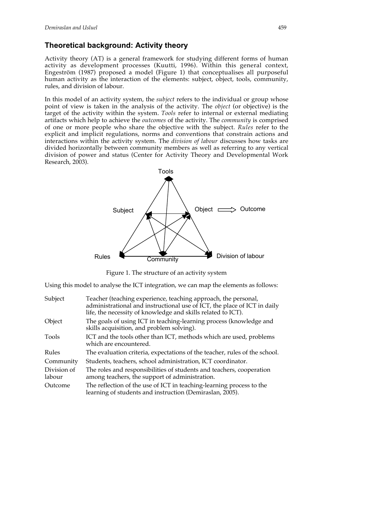## **Theoretical background: Activity theory**

Activity theory (AT) is a general framework for studying different forms of human activity as development processes (Kuutti, 1996). Within this general context, Engeström (1987) proposed a model (Figure 1) that conceptualises all purposeful human activity as the interaction of the elements: subject, object, tools, community, rules, and division of labour.

In this model of an activity system, the *subject* refers to the individual or group whose point of view is taken in the analysis of the activity. The *object* (or objective) is the target of the activity within the system. *Tools* refer to internal or external mediating artifacts which help to achieve the *outcomes* of the activity. The *community* is comprised of one or more people who share the objective with the subject. *Rules* refer to the explicit and implicit regulations, norms and conventions that constrain actions and interactions within the activity system. The *division of labour* discusses how tasks are divided horizontally between community members as well as referring to any vertical division of power and status (Center for Activity Theory and Developmental Work Research, 2003).



Figure 1. The structure of an activity system

Using this model to analyse the ICT integration, we can map the elements as follows:

| Subject               | Teacher (teaching experience, teaching approach, the personal,<br>administrational and instructional use of ICT, the place of ICT in daily<br>life, the necessity of knowledge and skills related to ICT). |
|-----------------------|------------------------------------------------------------------------------------------------------------------------------------------------------------------------------------------------------------|
| Object                | The goals of using ICT in teaching-learning process (knowledge and<br>skills acquisition, and problem solving).                                                                                            |
| Tools                 | ICT and the tools other than ICT, methods which are used, problems<br>which are encountered.                                                                                                               |
| Rules                 | The evaluation criteria, expectations of the teacher, rules of the school.                                                                                                                                 |
| Community             | Students, teachers, school administration, ICT coordinator.                                                                                                                                                |
| Division of<br>labour | The roles and responsibilities of students and teachers, cooperation<br>among teachers, the support of administration.                                                                                     |
| Outcome               | The reflection of the use of ICT in teaching-learning process to the<br>learning of students and instruction (Demiraslan, 2005).                                                                           |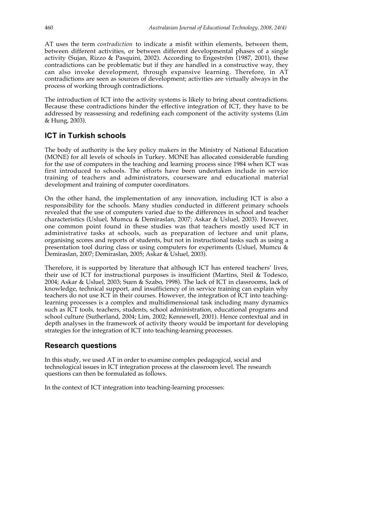AT uses the term *contradiction* to indicate a misfit within elements, between them, between different activities, or between different developmental phases of a single activity (Sujan, Rizzo & Pasquini, 2002). According to Engeström (1987, 2001), these contradictions can be problematic but if they are handled in a constructive way, they can also invoke development, through expansive learning. Therefore, in AT contradictions are seen as sources of development; activities are virtually always in the process of working through contradictions.

The introduction of ICT into the activity systems is likely to bring about contradictions. Because these contradictions hinder the effective integration of ICT, they have to be addressed by reassessing and redefining each component of the activity systems (Lim  $&$  Hung, 2003).

## **ICT in Turkish schools**

The body of authority is the key policy makers in the Ministry of National Education (MONE) for all levels of schools in Turkey. MONE has allocated considerable funding for the use of computers in the teaching and learning process since 1984 when ICT was first introduced to schools. The efforts have been undertaken include in service training of teachers and administrators, courseware and educational material development and training of computer coordinators.

On the other hand, the implementation of any innovation, including ICT is also a responsibility for the schools. Many studies conducted in different primary schools revealed that the use of computers varied due to the differences in school and teacher characteristics (Usluel, Mumcu & Demiraslan, 2007; Askar & Usluel, 2003). However, one common point found in these studies was that teachers mostly used ICT in administrative tasks at schools, such as preparation of lecture and unit plans, organising scores and reports of students, but not in instructional tasks such as using a presentation tool during class or using computers for experiments (Usluel, Mumcu & Demiraslan, 2007; Demiraslan, 2005; Askar & Usluel, 2003).

Therefore, it is supported by literature that although ICT has entered teachers' lives, their use of ICT for instructional purposes is insufficient (Martins, Steil & Todesco, 2004; Askar & Usluel, 2003; Suen & Szabo, 1998). The lack of ICT in classrooms, lack of knowledge, technical support, and insufficiency of in service training can explain why teachers do not use ICT in their courses. However, the integration of ICT into teachinglearning processes is a complex and multidimensional task including many dynamics such as ICT tools, teachers, students, school administration, educational programs and school culture (Sutherland, 2004; Lim, 2002; Kennewell, 2001). Hence contextual and in depth analyses in the framework of activity theory would be important for developing strategies for the integration of ICT into teaching-learning processes.

## **Research questions**

In this study, we used AT in order to examine complex pedagogical, social and technological issues in ICT integration process at the classroom level. The research questions can then be formulated as follows.

In the context of ICT integration into teaching-learning processes: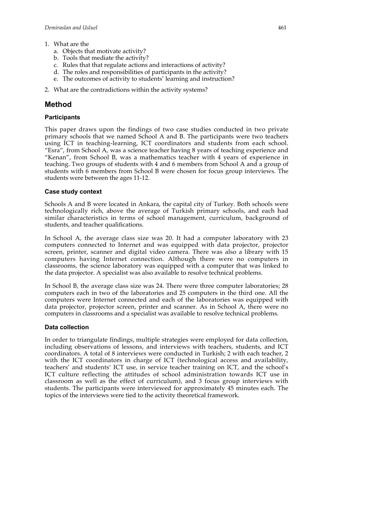- 1. What are the
	- a. Objects that motivate activity?
	- b. Tools that mediate the activity?
	- c. Rules that that regulate actions and interactions of activity?
	- d. The roles and responsibilities of participants in the activity?
	- e. The outcomes of activity to students' learning and instruction?
- 2. What are the contradictions within the activity systems?

## **Method**

## **Participants**

This paper draws upon the findings of two case studies conducted in two private primary schools that we named School A and B. The participants were two teachers using ICT in teaching-learning, ICT coordinators and students from each school. "Esra", from School A, was a science teacher having 8 years of teaching experience and "Kenan", from School B, was a mathematics teacher with 4 years of experience in teaching. Two groups of students with 4 and 6 members from School A and a group of students with 6 members from School B were chosen for focus group interviews. The students were between the ages 11-12.

## **Case study context**

Schools A and B were located in Ankara, the capital city of Turkey. Both schools were technologically rich, above the average of Turkish primary schools, and each had similar characteristics in terms of school management, curriculum, background of students, and teacher qualifications.

In School A, the average class size was 20. It had a computer laboratory with 23 computers connected to Internet and was equipped with data projector, projector screen, printer, scanner and digital video camera. There was also a library with 15 computers having Internet connection. Although there were no computers in classrooms, the science laboratory was equipped with a computer that was linked to the data projector. A specialist was also available to resolve technical problems.

In School B, the average class size was 24. There were three computer laboratories; 28 computers each in two of the laboratories and 25 computers in the third one. All the computers were Internet connected and each of the laboratories was equipped with data projector, projector screen, printer and scanner. As in School A, there were no computers in classrooms and a specialist was available to resolve technical problems.

#### **Data collection**

In order to triangulate findings, multiple strategies were employed for data collection, including observations of lessons, and interviews with teachers, students, and ICT coordinators. A total of 8 interviews were conducted in Turkish; 2 with each teacher, 2 with the ICT coordinators in charge of ICT (technological access and availability, teachers' and students' ICT use, in service teacher training on ICT, and the school's ICT culture reflecting the attitudes of school administration towards ICT use in classroom as well as the effect of curriculum), and 3 focus group interviews with students. The participants were interviewed for approximately 45 minutes each. The topics of the interviews were tied to the activity theoretical framework.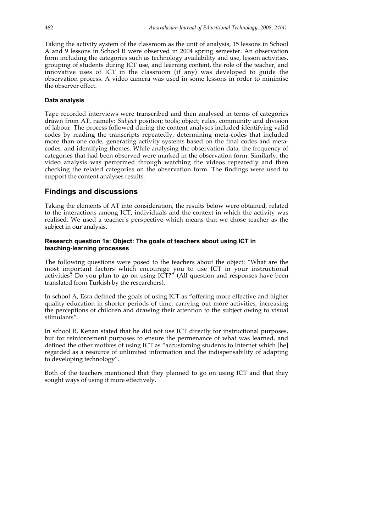Taking the activity system of the classroom as the unit of analysis, 15 lessons in School A and 9 lessons in School B were observed in 2004 spring semester. An observation form including the categories such as technology availability and use, lesson activities, grouping of students during ICT use, and learning content, the role of the teacher, and innovative uses of ICT in the classroom (if any) was developed to guide the observation process. A video camera was used in some lessons in order to minimise the observer effect.

#### **Data analysis**

Tape recorded interviews were transcribed and then analysed in terms of categories drawn from AT, namely: *Subject* position; tools; object; rules, community and division of labour. The process followed during the content analyses included identifying valid codes by reading the transcripts repeatedly, determining meta-codes that included more than one code, generating activity systems based on the final codes and metacodes, and identifying themes. While analysing the observation data, the frequency of categories that had been observed were marked in the observation form. Similarly, the video analysis was performed through watching the videos repeatedly and then checking the related categories on the observation form. The findings were used to support the content analyses results.

## **Findings and discussions**

Taking the elements of AT into consideration, the results below were obtained, related to the interactions among ICT, individuals and the context in which the activity was realised. We used a teacher's perspective which means that we chose teacher as the subject in our analysis.

### **Research question 1a: Object: The goals of teachers about using ICT in teaching-learning processes**

The following questions were posed to the teachers about the object: "What are the most important factors which encourage you to use ICT in your instructional activities? Do you plan to go on using ICT?" (All question and responses have been translated from Turkish by the researchers).

In school A, Esra defined the goals of using ICT as "offering more effective and higher quality education in shorter periods of time, carrying out more activities, increasing the perceptions of children and drawing their attention to the subject owing to visual stimulants".

In school B, Kenan stated that he did not use ICT directly for instructional purposes, but for reinforcement purposes to ensure the permenance of what was learned, and defined the other motives of using ICT as "accustoming students to Internet which [he] regarded as a resource of unlimited information and the indispensability of adapting to developing technology".

Both of the teachers mentioned that they planned to go on using ICT and that they sought ways of using it more effectively.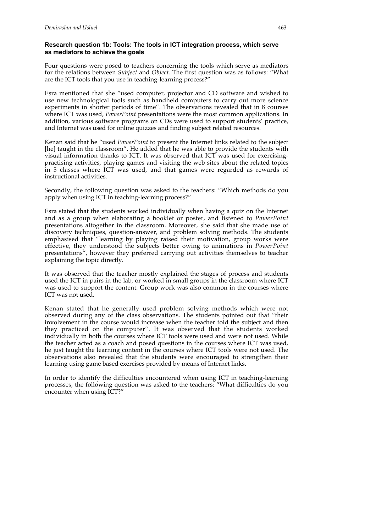### **Research question 1b: Tools: The tools in ICT integration process, which serve as mediators to achieve the goals**

Four questions were posed to teachers concerning the tools which serve as mediators for the relations between *Subject* and *Object*. The first question was as follows: "What are the ICT tools that you use in teaching-learning process?"

Esra mentioned that she "used computer, projector and CD software and wished to use new technological tools such as handheld computers to carry out more science experiments in shorter periods of time". The observations revealed that in 8 courses where ICT was used, *PowerPoint* presentations were the most common applications. In addition, various software programs on CDs were used to support students' practice, and Internet was used for online quizzes and finding subject related resources.

Kenan said that he "used *PowerPoint* to present the Internet links related to the subject [he] taught in the classroom". He added that he was able to provide the students with visual information thanks to ICT. It was observed that ICT was used for exercisingpractising activities, playing games and visiting the web sites about the related topics in 5 classes where ICT was used, and that games were regarded as rewards of instructional activities.

Secondly, the following question was asked to the teachers: "Which methods do you apply when using ICT in teaching-learning process?"

Esra stated that the students worked individually when having a quiz on the Internet and as a group when elaborating a booklet or poster, and listened to *PowerPoint* presentations altogether in the classroom. Moreover, she said that she made use of discovery techniques, question-answer, and problem solving methods. The students emphasised that "learning by playing raised their motivation, group works were effective, they understood the subjects better owing to animations in *PowerPoint* presentations", however they preferred carrying out activities themselves to teacher explaining the topic directly.

It was observed that the teacher mostly explained the stages of process and students used the ICT in pairs in the lab, or worked in small groups in the classroom where ICT was used to support the content. Group work was also common in the courses where ICT was not used.

Kenan stated that he generally used problem solving methods which were not observed during any of the class observations. The students pointed out that "their involvement in the course would increase when the teacher told the subject and then they practiced on the computer". It was observed that the students worked individually in both the courses where ICT tools were used and were not used. While the teacher acted as a coach and posed questions in the courses where ICT was used, he just taught the learning content in the courses where ICT tools were not used. The observations also revealed that the students were encouraged to strengthen their learning using game based exercises provided by means of Internet links.

In order to identify the difficulties encountered when using ICT in teaching-learning processes, the following question was asked to the teachers: "What difficulties do you encounter when using ICT?"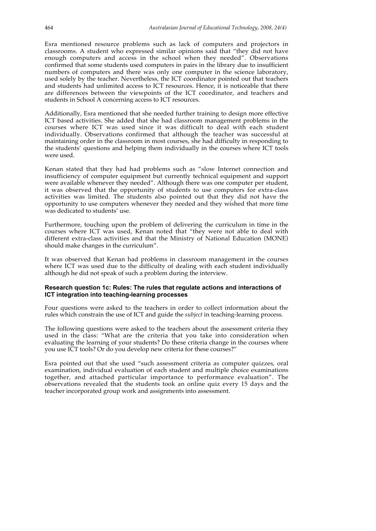Esra mentioned resource problems such as lack of computers and projectors in classrooms. A student who expressed similar opinions said that "they did not have enough computers and access in the school when they needed". Observations confirmed that some students used computers in pairs in the library due to insufficient numbers of computers and there was only one computer in the science laboratory, used solely by the teacher. Nevertheless, the ICT coordinator pointed out that teachers and students had unlimited access to ICT resources. Hence, it is noticeable that there are differences between the viewpoints of the ICT coordinator, and teachers and students in School A concerning access to ICT resources.

Additionally, Esra mentioned that she needed further training to design more effective ICT based activities. She added that she had classroom management problems in the courses where ICT was used since it was difficult to deal with each student individually. Observations confirmed that although the teacher was successful at maintaining order in the classroom in most courses, she had difficulty in responding to the students' questions and helping them individually in the courses where ICT tools were used.

Kenan stated that they had had problems such as "slow Internet connection and insufficiency of computer equipment but currently technical equipment and support were available whenever they needed". Although there was one computer per student, it was observed that the opportunity of students to use computers for extra-class activities was limited. The students also pointed out that they did not have the opportunity to use computers whenever they needed and they wished that more time was dedicated to students' use.

Furthermore, touching upon the problem of delivering the curriculum in time in the courses where ICT was used, Kenan noted that "they were not able to deal with different extra-class activities and that the Ministry of National Education (MONE) should make changes in the curriculum".

It was observed that Kenan had problems in classroom management in the courses where ICT was used due to the difficulty of dealing with each student individually although he did not speak of such a problem during the interview.

#### **Research question 1c: Rules: The rules that regulate actions and interactions of ICT integration into teaching-learning processes**

Four questions were asked to the teachers in order to collect information about the rules which constrain the use of ICT and guide the *subject* in teaching-learning process.

The following questions were asked to the teachers about the assessment criteria they used in the class: "What are the criteria that you take into consideration when evaluating the learning of your students? Do these criteria change in the courses where you use ICT tools? Or do you develop new criteria for these courses?"

Esra pointed out that she used "such assessment criteria as computer quizzes, oral examination, individual evaluation of each student and multiple choice examinations together, and attached particular importance to performance evaluation". The observations revealed that the students took an online quiz every 15 days and the teacher incorporated group work and assignments into assessment.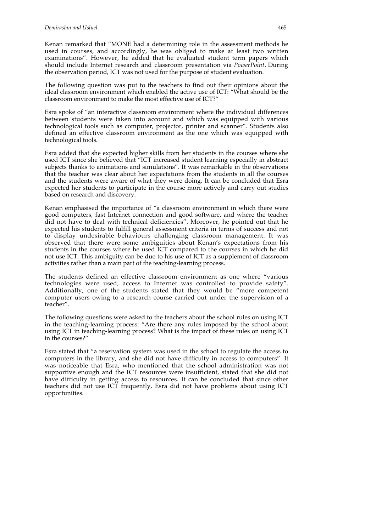Kenan remarked that "MONE had a determining role in the assessment methods he used in courses, and accordingly, he was obliged to make at least two written examinations". However, he added that he evaluated student term papers which should include Internet research and classroom presentation via *PowerPoint*. During the observation period, ICT was not used for the purpose of student evaluation.

The following question was put to the teachers to find out their opinions about the ideal classroom environment which enabled the active use of ICT: "What should be the classroom environment to make the most effective use of ICT?"

Esra spoke of "an interactive classroom environment where the individual differences between students were taken into account and which was equipped with various technological tools such as computer, projector, printer and scanner". Students also defined an effective classroom environment as the one which was equipped with technological tools.

Esra added that she expected higher skills from her students in the courses where she used ICT since she believed that "ICT increased student learning especially in abstract subjects thanks to animations and simulations". It was remarkable in the observations that the teacher was clear about her expectations from the students in all the courses and the students were aware of what they were doing. It can be concluded that Esra expected her students to participate in the course more actively and carry out studies based on research and discovery.

Kenan emphasised the importance of "a classroom environment in which there were good computers, fast Internet connection and good software, and where the teacher did not have to deal with technical deficiencies". Moreover, he pointed out that he expected his students to fulfill general assessment criteria in terms of success and not to display undesirable behaviours challenging classroom management. It was observed that there were some ambiguities about Kenan's expectations from his students in the courses where he used ICT compared to the courses in which he did not use ICT. This ambiguity can be due to his use of ICT as a supplement of classroom activities rather than a main part of the teaching-learning process.

The students defined an effective classroom environment as one where "various technologies were used, access to Internet was controlled to provide safety". Additionally, one of the students stated that they would be "more competent computer users owing to a research course carried out under the supervision of a teacher".

The following questions were asked to the teachers about the school rules on using ICT in the teaching-learning process: "Are there any rules imposed by the school about using ICT in teaching-learning process? What is the impact of these rules on using ICT in the courses?"

Esra stated that "a reservation system was used in the school to regulate the access to computers in the library, and she did not have difficulty in access to computers". It was noticeable that Esra, who mentioned that the school administration was not supportive enough and the ICT resources were insufficient, stated that she did not have difficulty in getting access to resources. It can be concluded that since other teachers did not use ICT frequently, Esra did not have problems about using ICT opportunities.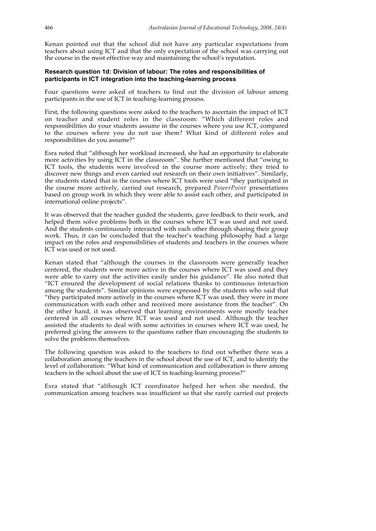Kenan pointed out that the school did not have any particular expectations from teachers about using ICT and that the only expectation of the school was carrying out the course in the most effective way and maintaining the school's reputation.

#### **Research question 1d: Division of labour: The roles and responsibilities of participants in ICT integration into the teaching-learning process**

Four questions were asked of teachers to find out the division of labour among participants in the use of ICT in teaching-learning process.

First, the following questions were asked to the teachers to ascertain the impact of ICT on teacher and student roles in the classroom: "Which different roles and responsibilities do your students assume in the courses where you use ICT, compared to the courses where you do not use them? What kind of different roles and responsibilities do you assume?"

Esra noted that "although her workload increased, she had an opportunity to elaborate more activities by using ICT in the classroom". She further mentioned that "owing to ICT tools, the students were involved in the course more actively; they tried to discover new things and even carried out research on their own initiatives". Similarly, the students stated that in the courses where ICT tools were used "they participated in the course more actively, carried out research, prepared *PowerPoint* presentations based on group work in which they were able to assist each other, and participated in international online projects".

It was observed that the teacher guided the students, gave feedback to their work, and helped them solve problems both in the courses where ICT was used and not used. And the students continuously interacted with each other through sharing their group work. Thus, it can be concluded that the teacher's teaching philosophy had a large impact on the roles and responsibilities of students and teachers in the courses where ICT was used or not used.

Kenan stated that "although the courses in the classroom were generally teacher centered, the students were more active in the courses where ICT was used and they were able to carry out the activities easily under his guidance". He also noted that "ICT ensured the development of social relations thanks to continuous interaction among the students". Similar opinions were expressed by the students who said that "they participated more actively in the courses where ICT was used, they were in more communication with each other and received more assistance from the teacher". On the other hand, it was observed that learning environments were mostly teacher centered in all courses where ICT was used and not used. Although the teacher assisted the students to deal with some activities in courses where ICT was used, he preferred giving the answers to the questions rather than encouraging the students to solve the problems themselves.

The following question was asked to the teachers to find out whether there was a collaboration among the teachers in the school about the use of ICT, and to identify the level of collaboration: "What kind of communication and collaboration is there among teachers in the school about the use of ICT in teaching-learning process?"

Esra stated that "although ICT coordinator helped her when she needed, the communication among teachers was insufficient so that she rarely carried out projects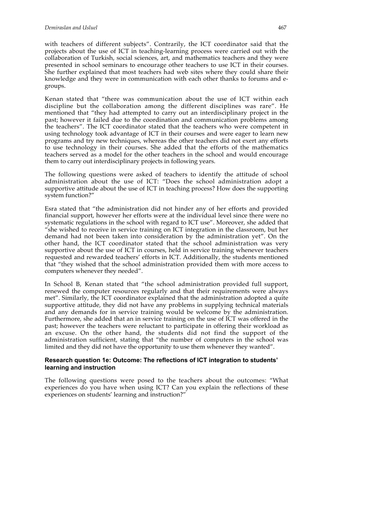with teachers of different subjects". Contrarily, the ICT coordinator said that the projects about the use of ICT in teaching-learning process were carried out with the collaboration of Turkish, social sciences, art, and mathematics teachers and they were presented in school seminars to encourage other teachers to use ICT in their courses. She further explained that most teachers had web sites where they could share their knowledge and they were in communication with each other thanks to forums and egroups.

Kenan stated that "there was communication about the use of ICT within each discipline but the collaboration among the different disciplines was rare". He mentioned that "they had attempted to carry out an interdisciplinary project in the past; however it failed due to the coordination and communication problems among the teachers". The ICT coordinator stated that the teachers who were competent in using technology took advantage of ICT in their courses and were eager to learn new programs and try new techniques, whereas the other teachers did not exert any efforts to use technology in their courses. She added that the efforts of the mathematics teachers served as a model for the other teachers in the school and would encourage them to carry out interdisciplinary projects in following years.

The following questions were asked of teachers to identify the attitude of school administration about the use of ICT: "Does the school administration adopt a supportive attitude about the use of ICT in teaching process? How does the supporting system function?"

Esra stated that "the administration did not hinder any of her efforts and provided financial support, however her efforts were at the individual level since there were no systematic regulations in the school with regard to ICT use". Moreover, she added that "she wished to receive in service training on ICT integration in the classroom, but her demand had not been taken into consideration by the administration yet". On the other hand, the ICT coordinator stated that the school administration was very supportive about the use of ICT in courses, held in service training whenever teachers requested and rewarded teachers' efforts in ICT. Additionally, the students mentioned that "they wished that the school administration provided them with more access to computers whenever they needed".

In School B, Kenan stated that "the school administration provided full support, renewed the computer resources regularly and that their requirements were always met". Similarly, the ICT coordinator explained that the administration adopted a quite supportive attitude, they did not have any problems in supplying technical materials and any demands for in service training would be welcome by the administration. Furthermore, she added that an in service training on the use of ICT was offered in the past; however the teachers were reluctant to participate in offering their workload as an excuse. On the other hand, the students did not find the support of the administration sufficient, stating that "the number of computers in the school was limited and they did not have the opportunity to use them whenever they wanted".

#### **Research question 1e: Outcome: The reflections of ICT integration to students' learning and instruction**

The following questions were posed to the teachers about the outcomes: "What experiences do you have when using ICT? Can you explain the reflections of these experiences on students' learning and instruction?"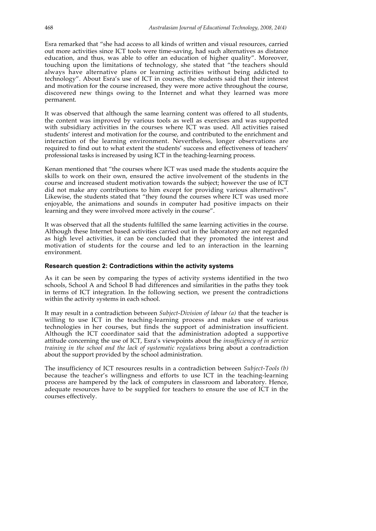Esra remarked that "she had access to all kinds of written and visual resources, carried out more activities since ICT tools were time-saving, had such alternatives as distance education, and thus, was able to offer an education of higher quality". Moreover, touching upon the limitations of technology, she stated that "the teachers should always have alternative plans or learning activities without being addicted to technology". About Esra's use of ICT in courses, the students said that their interest and motivation for the course increased, they were more active throughout the course, discovered new things owing to the Internet and what they learned was more permanent.

It was observed that although the same learning content was offered to all students, the content was improved by various tools as well as exercises and was supported with subsidiary activities in the courses where ICT was used. All activities raised students' interest and motivation for the course, and contributed to the enrichment and interaction of the learning environment. Nevertheless, longer observations are required to find out to what extent the students' success and effectiveness of teachers' professional tasks is increased by using ICT in the teaching-learning process.

Kenan mentioned that "the courses where ICT was used made the students acquire the skills to work on their own, ensured the active involvement of the students in the course and increased student motivation towards the subject; however the use of ICT did not make any contributions to him except for providing various alternatives". Likewise, the students stated that "they found the courses where ICT was used more enjoyable, the animations and sounds in computer had positive impacts on their learning and they were involved more actively in the course".

It was observed that all the students fulfilled the same learning activities in the course. Although these Internet based activities carried out in the laboratory are not regarded as high level activities, it can be concluded that they promoted the interest and motivation of students for the course and led to an interaction in the learning environment.

#### **Research question 2: Contradictions within the activity systems**

As it can be seen by comparing the types of activity systems identified in the two schools, School A and School B had differences and similarities in the paths they took in terms of ICT integration. In the following section, we present the contradictions within the activity systems in each school.

It may result in a contradiction between *Subject-Division of labour (a)* that the teacher is willing to use ICT in the teaching-learning process and makes use of various technologies in her courses, but finds the support of administration insufficient. Although the ICT coordinator said that the administration adopted a supportive attitude concerning the use of ICT, Esra's viewpoints about the *insufficiency of in service training in the school and the lack of systematic regulations* bring about a contradiction about the support provided by the school administration.

The insufficiency of ICT resources results in a contradiction between *Subject-Tools (b)* because the teacher's willingness and efforts to use ICT in the teaching-learning process are hampered by the lack of computers in classroom and laboratory. Hence, adequate resources have to be supplied for teachers to ensure the use of ICT in the courses effectively.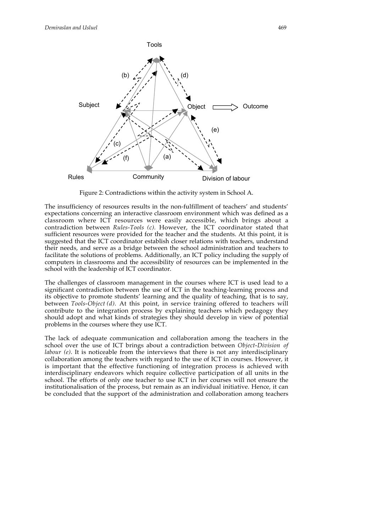

Figure 2: Contradictions within the activity system in School A.

The insufficiency of resources results in the non-fulfillment of teachers' and students' expectations concerning an interactive classroom environment which was defined as a classroom where ICT resources were easily accessible, which brings about a contradiction between *Rules-Tools (c).* However, the ICT coordinator stated that sufficient resources were provided for the teacher and the students. At this point, it is suggested that the ICT coordinator establish closer relations with teachers, understand their needs, and serve as a bridge between the school administration and teachers to facilitate the solutions of problems. Additionally, an ICT policy including the supply of computers in classrooms and the accessibility of resources can be implemented in the school with the leadership of ICT coordinator.

The challenges of classroom management in the courses where ICT is used lead to a significant contradiction between the use of ICT in the teaching-learning process and its objective to promote students' learning and the quality of teaching, that is to say, between *Tools-Object (d).* At this point, in service training offered to teachers will contribute to the integration process by explaining teachers which pedagogy they should adopt and what kinds of strategies they should develop in view of potential problems in the courses where they use ICT.

The lack of adequate communication and collaboration among the teachers in the school over the use of ICT brings about a contradiction between *Object-Division of labour (e)*. It is noticeable from the interviews that there is not any interdisciplinary collaboration among the teachers with regard to the use of ICT in courses. However, it is important that the effective functioning of integration process is achieved with interdisciplinary endeavors which require collective participation of all units in the school. The efforts of only one teacher to use ICT in her courses will not ensure the institutionalisation of the process, but remain as an individual initiative. Hence, it can be concluded that the support of the administration and collaboration among teachers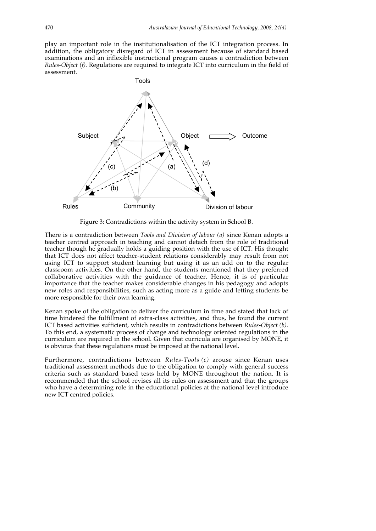play an important role in the institutionalisation of the ICT integration process. In addition, the obligatory disregard of ICT in assessment because of standard based examinations and an inflexible instructional program causes a contradiction between *Rules-Object (f).* Regulations are required to integrate ICT into curriculum in the field of assessment.



Figure 3: Contradictions within the activity system in School B.

There is a contradiction between *Tools and Division of labour (a)* since Kenan adopts a teacher centred approach in teaching and cannot detach from the role of traditional teacher though he gradually holds a guiding position with the use of ICT. His thought that ICT does not affect teacher-student relations considerably may result from not using ICT to support student learning but using it as an add on to the regular classroom activities. On the other hand, the students mentioned that they preferred collaborative activities with the guidance of teacher. Hence, it is of particular importance that the teacher makes considerable changes in his pedagogy and adopts new roles and responsibilities, such as acting more as a guide and letting students be more responsible for their own learning.

Kenan spoke of the obligation to deliver the curriculum in time and stated that lack of time hindered the fulfillment of extra-class activities, and thus, he found the current ICT based activities sufficient, which results in contradictions between *Rules-Object (b).* To this end, a systematic process of change and technology oriented regulations in the curriculum are required in the school. Given that curricula are organised by MONE, it is obvious that these regulations must be imposed at the national level.

Furthermore, contradictions between *Rules-Tools (c)* arouse since Kenan uses traditional assessment methods due to the obligation to comply with general success criteria such as standard based tests held by MONE throughout the nation. It is recommended that the school revises all its rules on assessment and that the groups who have a determining role in the educational policies at the national level introduce new ICT centred policies.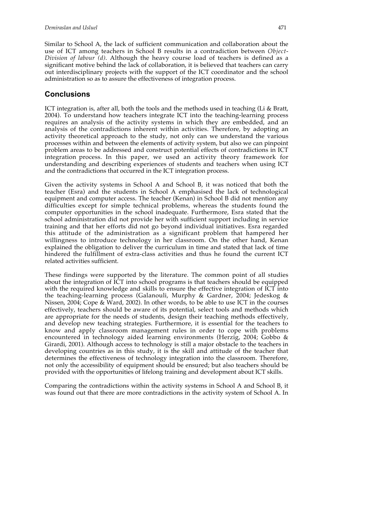Similar to School A, the lack of sufficient communication and collaboration about the use of ICT among teachers in School B results in a contradiction between *Object-Division of labour (d)*. Although the heavy course load of teachers is defined as a significant motive behind the lack of collaboration, it is believed that teachers can carry out interdisciplinary projects with the support of the ICT coordinator and the school administration so as to assure the effectiveness of integration process.

## **Conclusions**

ICT integration is, after all, both the tools and the methods used in teaching (Li & Bratt, 2004). To understand how teachers integrate ICT into the teaching-learning process requires an analysis of the activity systems in which they are embedded, and an analysis of the contradictions inherent within activities. Therefore, by adopting an activity theoretical approach to the study, not only can we understand the various processes within and between the elements of activity system, but also we can pinpoint problem areas to be addressed and construct potential effects of contradictions in ICT integration process. In this paper, we used an activity theory framework for understanding and describing experiences of students and teachers when using ICT and the contradictions that occurred in the ICT integration process.

Given the activity systems in School A and School B, it was noticed that both the teacher (Esra) and the students in School A emphasised the lack of technological equipment and computer access. The teacher (Kenan) in School B did not mention any difficulties except for simple technical problems, whereas the students found the computer opportunities in the school inadequate. Furthermore, Esra stated that the school administration did not provide her with sufficient support including in service training and that her efforts did not go beyond individual initiatives. Esra regarded this attitude of the administration as a significant problem that hampered her willingness to introduce technology in her classroom. On the other hand, Kenan explained the obligation to deliver the curriculum in time and stated that lack of time hindered the fulfillment of extra-class activities and thus he found the current ICT related activities sufficient.

These findings were supported by the literature. The common point of all studies about the integration of ICT into school programs is that teachers should be equipped with the required knowledge and skills to ensure the effective integration of ICT into the teaching-learning process (Galanouli, Murphy & Gardner, 2004; Jedeskog & Nissen, 2004; Cope & Ward, 2002). In other words, to be able to use ICT in the courses effectively, teachers should be aware of its potential, select tools and methods which are appropriate for the needs of students, design their teaching methods effectively, and develop new teaching strategies. Furthermore, it is essential for the teachers to know and apply classroom management rules in order to cope with problems encountered in technology aided learning environments (Herzig, 2004; Gobbo & Girardi, 2001). Although access to technology is still a major obstacle to the teachers in developing countries as in this study, it is the skill and attitude of the teacher that determines the effectiveness of technology integration into the classroom. Therefore, not only the accessibility of equipment should be ensured; but also teachers should be provided with the opportunities of lifelong training and development about ICT skills.

Comparing the contradictions within the activity systems in School A and School B, it was found out that there are more contradictions in the activity system of School A. In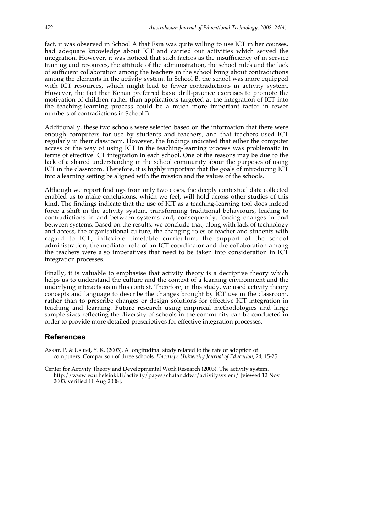fact, it was observed in School A that Esra was quite willing to use ICT in her courses, had adequate knowledge about ICT and carried out activities which served the integration. However, it was noticed that such factors as the insufficiency of in service training and resources, the attitude of the administration, the school rules and the lack of sufficient collaboration among the teachers in the school bring about contradictions among the elements in the activity system. In School B, the school was more equipped with ICT resources, which might lead to fewer contradictions in activity system. However, the fact that Kenan preferred basic drill-practice exercises to promote the motivation of children rather than applications targeted at the integration of ICT into the teaching-learning process could be a much more important factor in fewer numbers of contradictions in School B.

Additionally, these two schools were selected based on the information that there were enough computers for use by students and teachers, and that teachers used ICT regularly in their classroom. However, the findings indicated that either the computer access or the way of using ICT in the teaching-learning process was problematic in terms of effective ICT integration in each school. One of the reasons may be due to the lack of a shared understanding in the school community about the purposes of using ICT in the classroom. Therefore, it is highly important that the goals of introducing ICT into a learning setting be aligned with the mission and the values of the schools.

Although we report findings from only two cases, the deeply contextual data collected enabled us to make conclusions, which we feel, will hold across other studies of this kind. The findings indicate that the use of ICT as a teaching-learning tool does indeed force a shift in the activity system, transforming traditional behaviours, leading to contradictions in and between systems and, consequently, forcing changes in and between systems. Based on the results, we conclude that, along with lack of technology and access, the organisational culture, the changing roles of teacher and students with regard to ICT, inflexible timetable curriculum, the support of the school administration, the mediator role of an ICT coordinator and the collaboration among the teachers were also imperatives that need to be taken into consideration in ICT integration processes.

Finally, it is valuable to emphasise that activity theory is a decriptive theory which helps us to understand the culture and the context of a learning environment and the underlying interactions in this context. Therefore, in this study, we used activity theory concepts and language to describe the changes brought by ICT use in the classroom, rather than to prescribe changes or design solutions for effective ICT integration in teaching and learning. Future research using empirical methodologies and large sample sizes reflecting the diversity of schools in the community can be conducted in order to provide more detailed prescriptives for effective integration processes.

#### **References**

- Askar, P. & Usluel, Y. K. (2003). A longitudinal study related to the rate of adoption of computers: Comparison of three schools. *Hacettepe University Journal of Education,* 24, 15-25.
- Center for Activity Theory and Developmental Work Research (2003). The activity system. http://www.edu.helsinki.fi/activity/pages/chatanddwr/activitysystem/ [viewed 12 Nov 2003, verified 11 Aug 2008].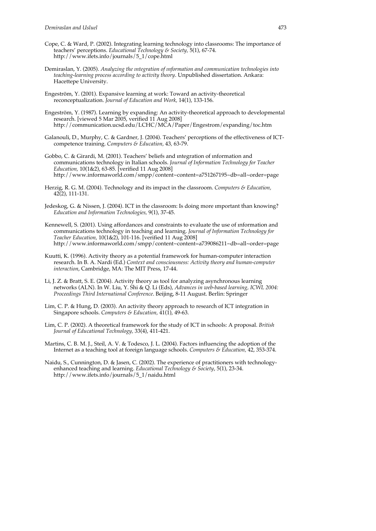- Cope, C. & Ward, P. (2002). Integrating learning technology into classrooms: The importance of teachers' perceptions. *Educational Technology & Society,* 5(1), 67-74. http://www.ifets.info/journals/5\_1/cope.html
- Demiraslan, Y. (2005). *Analyzing the ıntegration of ınformation and communication technologies into teaching-learning process according to activity theory*. Unpublished dissertation. Ankara: Hacettepe University.
- Engeström, Y. (2001). Expansive learning at work: Toward an activity-theoretical reconceptualization. *Journal of Education and Work,* 14(1), 133-156.
- Engeström, Y. (1987). Learning by expanding: An activity-theoretical approach to developmental research. [viewed 5 Mar 2005, verified 11 Aug 2008] http://communication.ucsd.edu/LCHC/MCA/Paper/Engestrom/expanding/toc.htm
- Galanouli, D., Murphy, C. & Gardner, J. (2004). Teachers' perceptions of the effectiveness of ICTcompetence training. *Computers & Education,* 43*,* 63-79.
- Gobbo, C. & Girardi, M. (2001). Teachers' beliefs and ıntegration of ınformation and communications technology in Italian schools. *Journal of Information Technology for Teacher Education,* 10(1&2), 63-85. [verified 11 Aug 2008] http://www.informaworld.com/smpp/content~content=a751267195~db=all~order=page
- Herzig, R. G. M. (2004). Technology and its impact in the classroom. *Computers & Education,* 42(2), 111-131.
- Jedeskog, G. & Nissen, J. (2004). ICT in the classroom: Is doing more ımportant than knowing? *Education and Information Technologies,* 9(1), 37-45.
- Kennewell, S. (2001). Using affordances and constraints to evaluate the use of ınformation and communications technology in teaching and learning. *Journal of Information Technology for Teacher Education,* 10(1&2), 101-116. [verified 11 Aug 2008] http://www.informaworld.com/smpp/content~content=a739086211~db=all~order=page
- Kuutti, K. (1996). Activity theory as a potential framework for human-computer interaction research. In B. A. Nardi (Ed.) *Context and consciousness: Activity theory and human-computer interaction*, Cambridge, MA: The MIT Press, 17-44.
- Li, J. Z. & Bratt, S. E. (2004). Activity theory as tool for analyzing asynchronous learning networks (ALN). In W. Liu, Y. Shi & Q. Li (Eds), *Advances in web-based learning, ICWL 2004: Proceedings Third International Conference*. Beijing, 8-11 August. Berlin: Springer
- Lim, C. P. & Hung, D. (2003). An activity theory approach to research of ICT integration in Singapore schools. *Computers & Education*, 41(1), 49-63.
- Lim, C. P. (2002). A theoretical framework for the study of ICT in schools: A proposal. *British Journal of Educational Technology,* 33(4), 411-421.
- Martins, C. B. M. J., Steil, A. V. & Todesco, J. L. (2004). Factors influencing the adoption of the Internet as a teaching tool at foreign language schools. *Computers & Education,* 42, 353-374.
- Naidu, S., Cunnington, D. & Jasen, C. (2002). The experience of practitioners with technologyenhanced teaching and learning. *Educational Technology & Society*, 5(1), 23-34. http://www.ifets.info/journals/5\_1/naidu.html